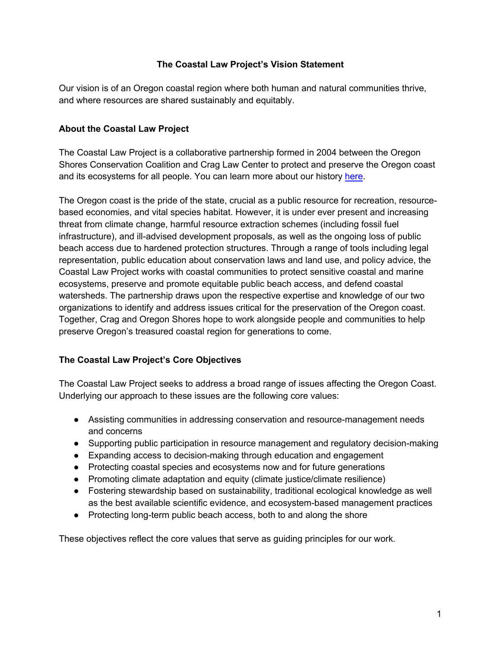### **The Coastal Law Project's Vision Statement**

Our vision is of an Oregon coastal region where both human and natural communities thrive, and where resources are shared sustainably and equitably.

### **About the Coastal Law Project**

The Coastal Law Project is a collaborative partnership formed in 2004 between the Oregon Shores Conservation Coalition and Crag Law Center to protect and preserve the Oregon coast and its ecosystems for all people. You can learn more about our history here.

The Oregon coast is the pride of the state, crucial as a public resource for recreation, resourcebased economies, and vital species habitat. However, it is under ever present and increasing threat from climate change, harmful resource extraction schemes (including fossil fuel infrastructure), and ill-advised development proposals, as well as the ongoing loss of public beach access due to hardened protection structures. Through a range of tools including legal representation, public education about conservation laws and land use, and policy advice, the Coastal Law Project works with coastal communities to protect sensitive coastal and marine ecosystems, preserve and promote equitable public beach access, and defend coastal watersheds. The partnership draws upon the respective expertise and knowledge of our two organizations to identify and address issues critical for the preservation of the Oregon coast. Together, Crag and Oregon Shores hope to work alongside people and communities to help preserve Oregon's treasured coastal region for generations to come.

# **The Coastal Law Project's Core Objectives**

The Coastal Law Project seeks to address a broad range of issues affecting the Oregon Coast. Underlying our approach to these issues are the following core values:

- Assisting communities in addressing conservation and resource-management needs and concerns
- Supporting public participation in resource management and regulatory decision-making
- Expanding access to decision-making through education and engagement
- Protecting coastal species and ecosystems now and for future generations
- Promoting climate adaptation and equity (climate justice/climate resilience)
- Fostering stewardship based on sustainability, traditional ecological knowledge as well as the best available scientific evidence, and ecosystem-based management practices
- Protecting long-term public beach access, both to and along the shore

These objectives reflect the core values that serve as guiding principles for our work.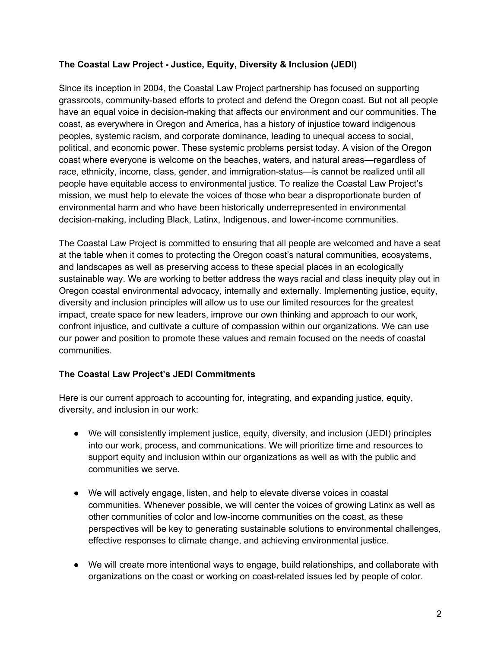# **The Coastal Law Project - Justice, Equity, Diversity & Inclusion (JEDI)**

Since its inception in 2004, the Coastal Law Project partnership has focused on supporting grassroots, community-based efforts to protect and defend the Oregon coast. But not all people have an equal voice in decision-making that affects our environment and our communities. The coast, as everywhere in Oregon and America, has a history of injustice toward indigenous peoples, systemic racism, and corporate dominance, leading to unequal access to social, political, and economic power. These systemic problems persist today. A vision of the Oregon coast where everyone is welcome on the beaches, waters, and natural areas—regardless of race, ethnicity, income, class, gender, and immigration-status—is cannot be realized until all people have equitable access to environmental justice. To realize the Coastal Law Project's mission, we must help to elevate the voices of those who bear a disproportionate burden of environmental harm and who have been historically underrepresented in environmental decision-making, including Black, Latinx, Indigenous, and lower-income communities.

The Coastal Law Project is committed to ensuring that all people are welcomed and have a seat at the table when it comes to protecting the Oregon coast's natural communities, ecosystems, and landscapes as well as preserving access to these special places in an ecologically sustainable way. We are working to better address the ways racial and class inequity play out in Oregon coastal environmental advocacy, internally and externally. Implementing justice, equity, diversity and inclusion principles will allow us to use our limited resources for the greatest impact, create space for new leaders, improve our own thinking and approach to our work, confront injustice, and cultivate a culture of compassion within our organizations. We can use our power and position to promote these values and remain focused on the needs of coastal communities.

# **The Coastal Law Project's JEDI Commitments**

Here is our current approach to accounting for, integrating, and expanding justice, equity, diversity, and inclusion in our work:

- We will consistently implement justice, equity, diversity, and inclusion (JEDI) principles into our work, process, and communications. We will prioritize time and resources to support equity and inclusion within our organizations as well as with the public and communities we serve.
- We will actively engage, listen, and help to elevate diverse voices in coastal communities. Whenever possible, we will center the voices of growing Latinx as well as other communities of color and low-income communities on the coast, as these perspectives will be key to generating sustainable solutions to environmental challenges, effective responses to climate change, and achieving environmental justice.
- We will create more intentional ways to engage, build relationships, and collaborate with organizations on the coast or working on coast-related issues led by people of color.